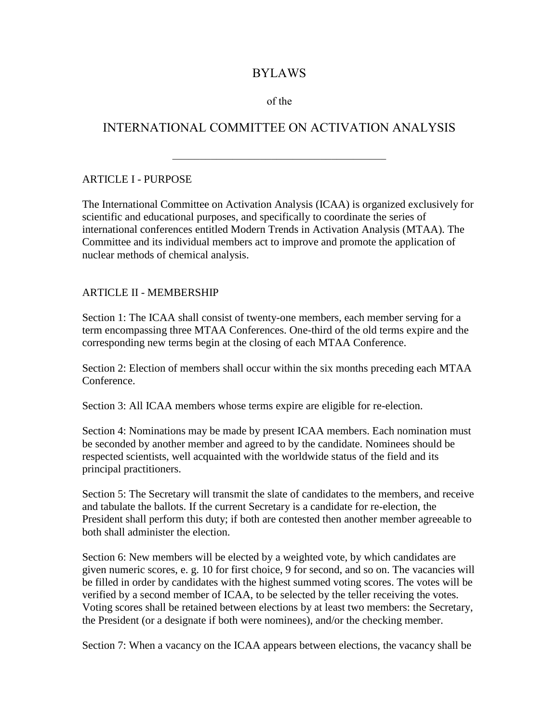## BYLAWS

#### of the

# INTERNATIONAL COMMITTEE ON ACTIVATION ANALYSIS

#### ARTICLE I - PURPOSE

The International Committee on Activation Analysis (ICAA) is organized exclusively for scientific and educational purposes, and specifically to coordinate the series of international conferences entitled Modern Trends in Activation Analysis (MTAA). The Committee and its individual members act to improve and promote the application of nuclear methods of chemical analysis.

#### ARTICLE II - MEMBERSHIP

Section 1: The ICAA shall consist of twenty-one members, each member serving for a term encompassing three MTAA Conferences. One-third of the old terms expire and the corresponding new terms begin at the closing of each MTAA Conference.

Section 2: Election of members shall occur within the six months preceding each MTAA Conference.

Section 3: All ICAA members whose terms expire are eligible for re-election.

Section 4: Nominations may be made by present ICAA members. Each nomination must be seconded by another member and agreed to by the candidate. Nominees should be respected scientists, well acquainted with the worldwide status of the field and its principal practitioners.

Section 5: The Secretary will transmit the slate of candidates to the members, and receive and tabulate the ballots. If the current Secretary is a candidate for re-election, the President shall perform this duty; if both are contested then another member agreeable to both shall administer the election.

Section 6: New members will be elected by a weighted vote, by which candidates are given numeric scores, e. g. 10 for first choice, 9 for second, and so on. The vacancies will be filled in order by candidates with the highest summed voting scores. The votes will be verified by a second member of ICAA, to be selected by the teller receiving the votes. Voting scores shall be retained between elections by at least two members: the Secretary, the President (or a designate if both were nominees), and/or the checking member.

Section 7: When a vacancy on the ICAA appears between elections, the vacancy shall be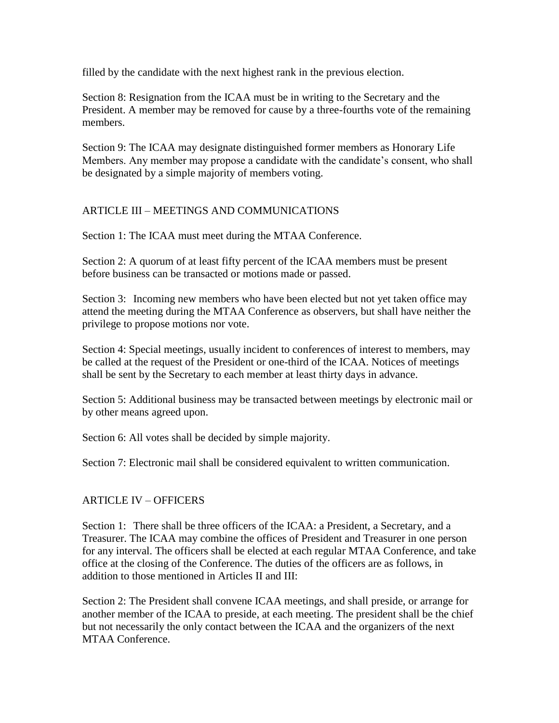filled by the candidate with the next highest rank in the previous election.

Section 8: Resignation from the ICAA must be in writing to the Secretary and the President. A member may be removed for cause by a three-fourths vote of the remaining members.

Section 9: The ICAA may designate distinguished former members as Honorary Life Members. Any member may propose a candidate with the candidate's consent, who shall be designated by a simple majority of members voting.

### ARTICLE III – MEETINGS AND COMMUNICATIONS

Section 1: The ICAA must meet during the MTAA Conference.

Section 2: A quorum of at least fifty percent of the ICAA members must be present before business can be transacted or motions made or passed.

Section 3: Incoming new members who have been elected but not yet taken office may attend the meeting during the MTAA Conference as observers, but shall have neither the privilege to propose motions nor vote.

Section 4: Special meetings, usually incident to conferences of interest to members, may be called at the request of the President or one-third of the ICAA. Notices of meetings shall be sent by the Secretary to each member at least thirty days in advance.

Section 5: Additional business may be transacted between meetings by electronic mail or by other means agreed upon.

Section 6: All votes shall be decided by simple majority.

Section 7: Electronic mail shall be considered equivalent to written communication.

### ARTICLE IV – OFFICERS

Section 1: There shall be three officers of the ICAA: a President, a Secretary, and a Treasurer. The ICAA may combine the offices of President and Treasurer in one person for any interval. The officers shall be elected at each regular MTAA Conference, and take office at the closing of the Conference. The duties of the officers are as follows, in addition to those mentioned in Articles II and III:

Section 2: The President shall convene ICAA meetings, and shall preside, or arrange for another member of the ICAA to preside, at each meeting. The president shall be the chief but not necessarily the only contact between the ICAA and the organizers of the next MTAA Conference.